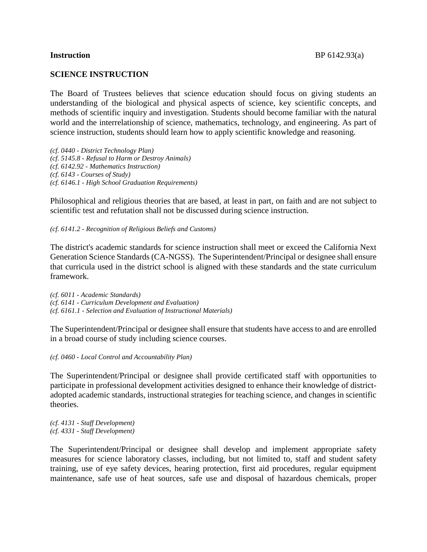## **SCIENCE INSTRUCTION**

The Board of Trustees believes that science education should focus on giving students an understanding of the biological and physical aspects of science, key scientific concepts, and methods of scientific inquiry and investigation. Students should become familiar with the natural world and the interrelationship of science, mathematics, technology, and engineering. As part of science instruction, students should learn how to apply scientific knowledge and reasoning.

*(cf. 0440 - District Technology Plan) (cf. 5145.8 - Refusal to Harm or Destroy Animals) (cf. 6142.92 - Mathematics Instruction) (cf. 6143 - Courses of Study) (cf. 6146.1 - High School Graduation Requirements)*

Philosophical and religious theories that are based, at least in part, on faith and are not subject to scientific test and refutation shall not be discussed during science instruction.

*(cf. 6141.2 - Recognition of Religious Beliefs and Customs)*

The district's academic standards for science instruction shall meet or exceed the California Next Generation Science Standards (CA-NGSS). The Superintendent/Principal or designee shall ensure that curricula used in the district school is aligned with these standards and the state curriculum framework.

*(cf. 6011 - Academic Standards) (cf. 6141 - Curriculum Development and Evaluation) (cf. 6161.1 - Selection and Evaluation of Instructional Materials)*

The Superintendent/Principal or designee shall ensure that students have access to and are enrolled in a broad course of study including science courses.

*(cf. 0460 - Local Control and Accountability Plan)*

The Superintendent/Principal or designee shall provide certificated staff with opportunities to participate in professional development activities designed to enhance their knowledge of districtadopted academic standards, instructional strategies for teaching science, and changes in scientific theories.

*(cf. 4131 - Staff Development) (cf. 4331 - Staff Development)*

The Superintendent/Principal or designee shall develop and implement appropriate safety measures for science laboratory classes, including, but not limited to, staff and student safety training, use of eye safety devices, hearing protection, first aid procedures, regular equipment maintenance, safe use of heat sources, safe use and disposal of hazardous chemicals, proper